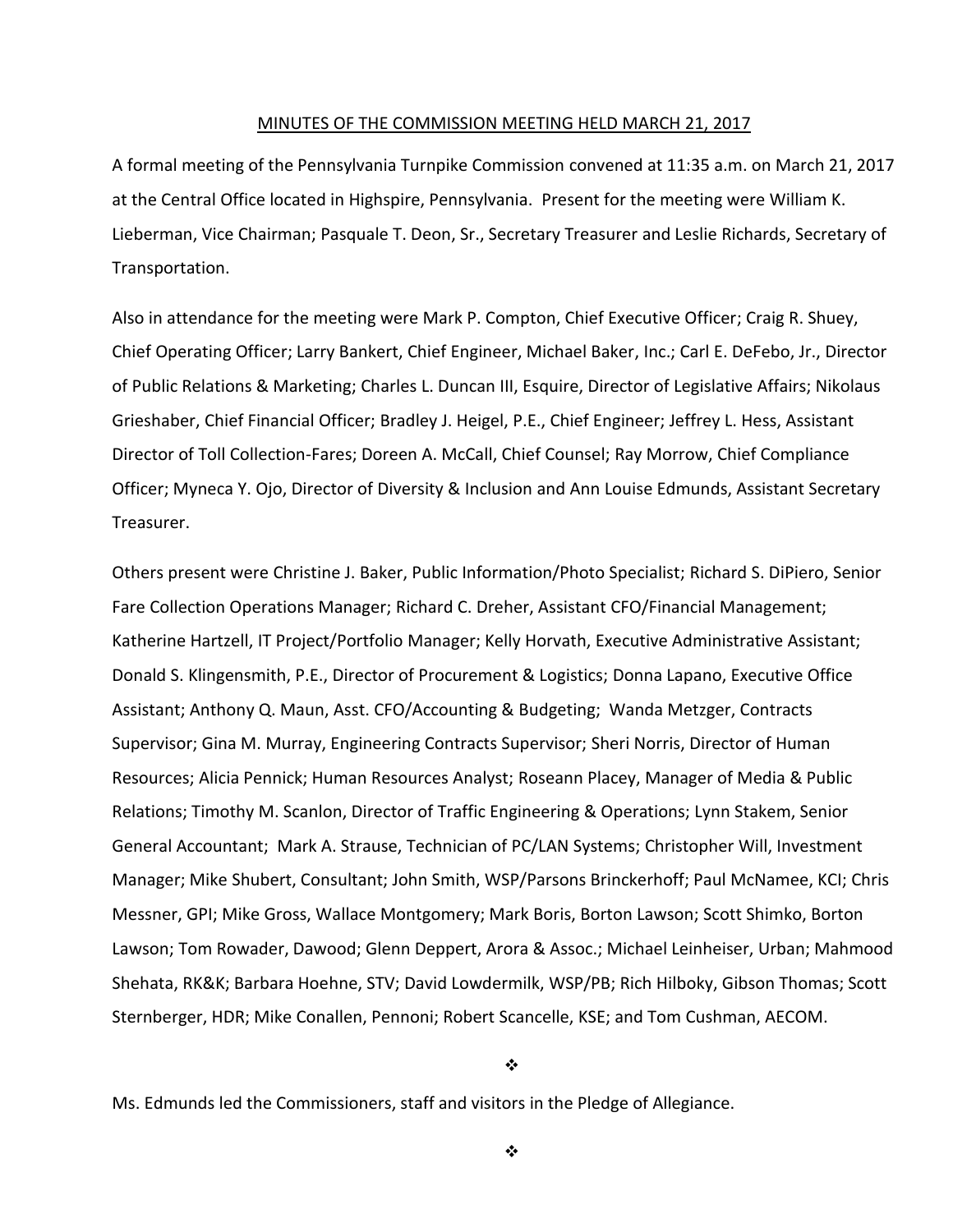#### MINUTES OF THE COMMISSION MEETING HELD MARCH 21, 2017

A formal meeting of the Pennsylvania Turnpike Commission convened at 11:35 a.m. on March 21, 2017 at the Central Office located in Highspire, Pennsylvania. Present for the meeting were William K. Lieberman, Vice Chairman; Pasquale T. Deon, Sr., Secretary Treasurer and Leslie Richards, Secretary of Transportation.

Also in attendance for the meeting were Mark P. Compton, Chief Executive Officer; Craig R. Shuey, Chief Operating Officer; Larry Bankert, Chief Engineer, Michael Baker, Inc.; Carl E. DeFebo, Jr., Director of Public Relations & Marketing; Charles L. Duncan III, Esquire, Director of Legislative Affairs; Nikolaus Grieshaber, Chief Financial Officer; Bradley J. Heigel, P.E., Chief Engineer; Jeffrey L. Hess, Assistant Director of Toll Collection-Fares; Doreen A. McCall, Chief Counsel; Ray Morrow, Chief Compliance Officer; Myneca Y. Ojo, Director of Diversity & Inclusion and Ann Louise Edmunds, Assistant Secretary Treasurer.

Others present were Christine J. Baker, Public Information/Photo Specialist; Richard S. DiPiero, Senior Fare Collection Operations Manager; Richard C. Dreher, Assistant CFO/Financial Management; Katherine Hartzell, IT Project/Portfolio Manager; Kelly Horvath, Executive Administrative Assistant; Donald S. Klingensmith, P.E., Director of Procurement & Logistics; Donna Lapano, Executive Office Assistant; Anthony Q. Maun, Asst. CFO/Accounting & Budgeting; Wanda Metzger, Contracts Supervisor; Gina M. Murray, Engineering Contracts Supervisor; Sheri Norris, Director of Human Resources; Alicia Pennick; Human Resources Analyst; Roseann Placey, Manager of Media & Public Relations; Timothy M. Scanlon, Director of Traffic Engineering & Operations; Lynn Stakem, Senior General Accountant; Mark A. Strause, Technician of PC/LAN Systems; Christopher Will, Investment Manager; Mike Shubert, Consultant; John Smith, WSP/Parsons Brinckerhoff; Paul McNamee, KCI; Chris Messner, GPI; Mike Gross, Wallace Montgomery; Mark Boris, Borton Lawson; Scott Shimko, Borton Lawson; Tom Rowader, Dawood; Glenn Deppert, Arora & Assoc.; Michael Leinheiser, Urban; Mahmood Shehata, RK&K; Barbara Hoehne, STV; David Lowdermilk, WSP/PB; Rich Hilboky, Gibson Thomas; Scott Sternberger, HDR; Mike Conallen, Pennoni; Robert Scancelle, KSE; and Tom Cushman, AECOM.

❖

Ms. Edmunds led the Commissioners, staff and visitors in the Pledge of Allegiance.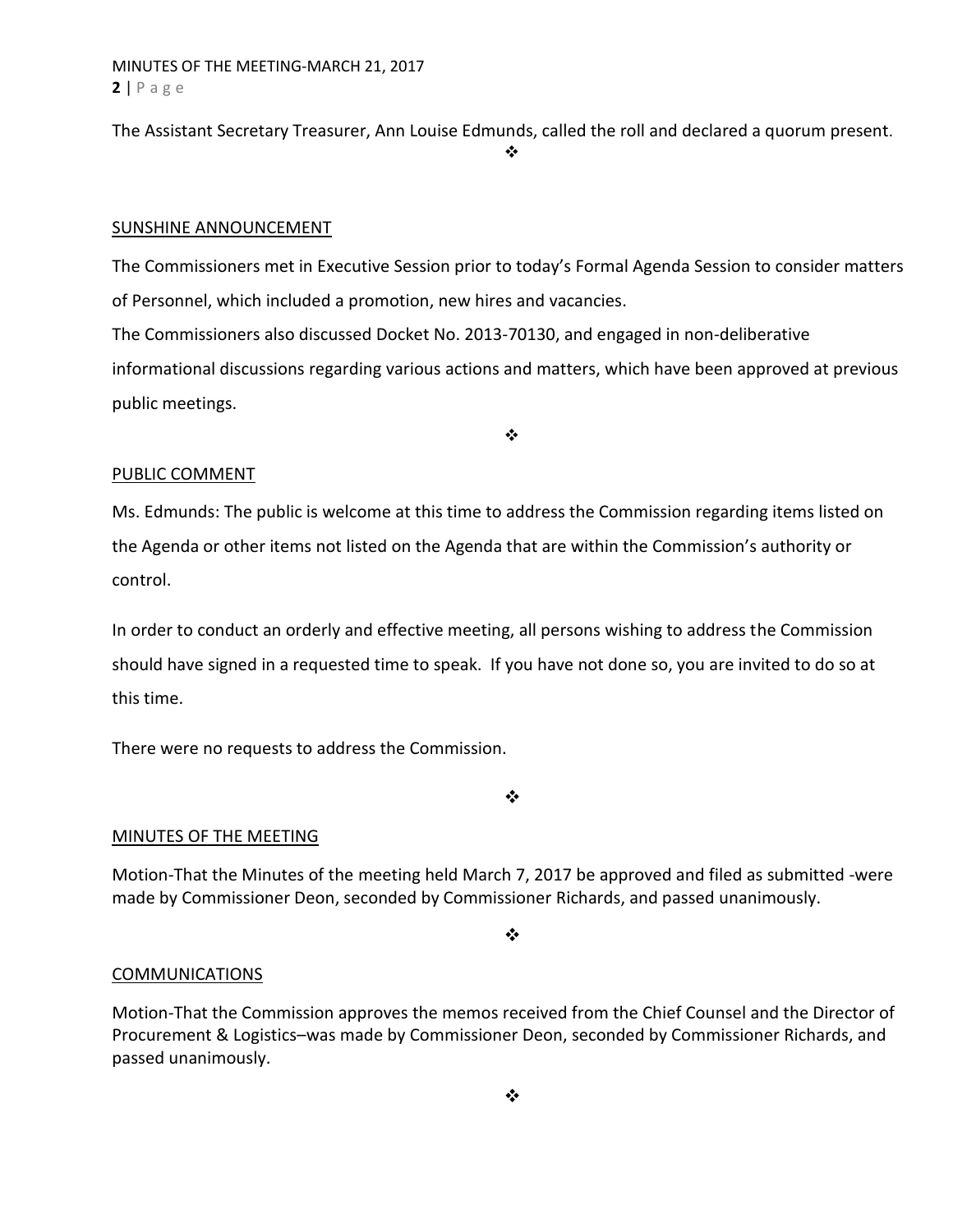MINUTES OF THE MEETING-MARCH 21, 2017 **2** | P a g e

The Assistant Secretary Treasurer, Ann Louise Edmunds, called the roll and declared a quorum present.

❖

### SUNSHINE ANNOUNCEMENT

The Commissioners met in Executive Session prior to today's Formal Agenda Session to consider matters of Personnel, which included a promotion, new hires and vacancies. The Commissioners also discussed Docket No. 2013-70130, and engaged in non-deliberative informational discussions regarding various actions and matters, which have been approved at previous public meetings.

❖

## PUBLIC COMMENT

Ms. Edmunds: The public is welcome at this time to address the Commission regarding items listed on the Agenda or other items not listed on the Agenda that are within the Commission's authority or control.

In order to conduct an orderly and effective meeting, all persons wishing to address the Commission should have signed in a requested time to speak. If you have not done so, you are invited to do so at this time.

There were no requests to address the Commission.

❖

## MINUTES OF THE MEETING

Motion-That the Minutes of the meeting held March 7, 2017 be approved and filed as submitted -were made by Commissioner Deon, seconded by Commissioner Richards, and passed unanimously.

❖

## **COMMUNICATIONS**

Motion-That the Commission approves the memos received from the Chief Counsel and the Director of Procurement & Logistics–was made by Commissioner Deon, seconded by Commissioner Richards, and passed unanimously.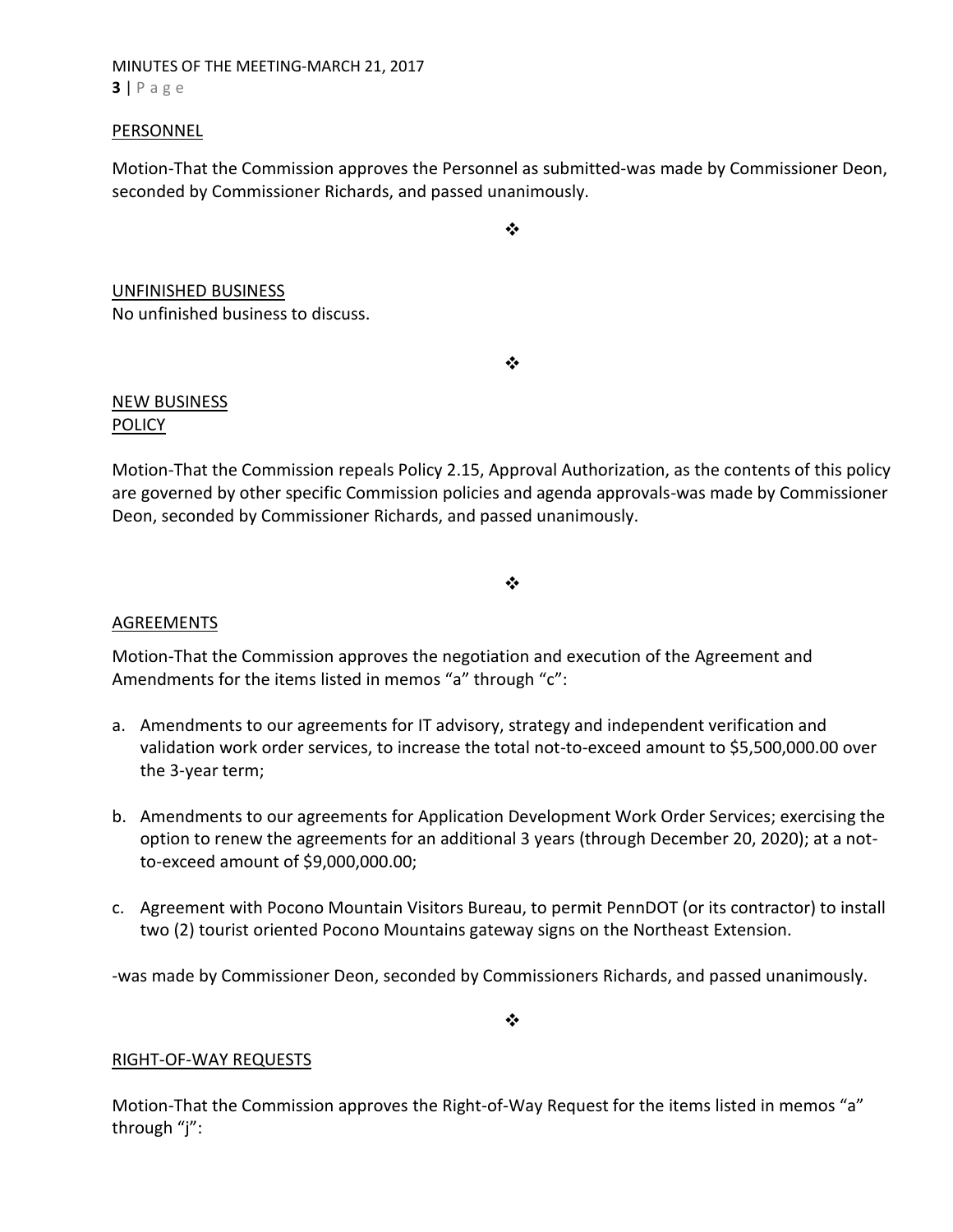MINUTES OF THE MEETING-MARCH 21, 2017 **3** | P a g e

#### PERSONNEL

Motion-That the Commission approves the Personnel as submitted-was made by Commissioner Deon, seconded by Commissioner Richards, and passed unanimously.

❖

UNFINISHED BUSINESS No unfinished business to discuss.

❖

## NEW BUSINESS POLICY

Motion-That the Commission repeals Policy 2.15, Approval Authorization, as the contents of this policy are governed by other specific Commission policies and agenda approvals-was made by Commissioner Deon, seconded by Commissioner Richards, and passed unanimously.

#### ❖

## AGREEMENTS

Motion-That the Commission approves the negotiation and execution of the Agreement and Amendments for the items listed in memos "a" through "c":

- a. Amendments to our agreements for IT advisory, strategy and independent verification and validation work order services, to increase the total not-to-exceed amount to \$5,500,000.00 over the 3-year term;
- b. Amendments to our agreements for Application Development Work Order Services; exercising the option to renew the agreements for an additional 3 years (through December 20, 2020); at a notto-exceed amount of \$9,000,000.00;
- c. Agreement with Pocono Mountain Visitors Bureau, to permit PennDOT (or its contractor) to install two (2) tourist oriented Pocono Mountains gateway signs on the Northeast Extension.

-was made by Commissioner Deon, seconded by Commissioners Richards, and passed unanimously.

❖

#### RIGHT-OF-WAY REQUESTS

Motion-That the Commission approves the Right-of-Way Request for the items listed in memos "a" through "j":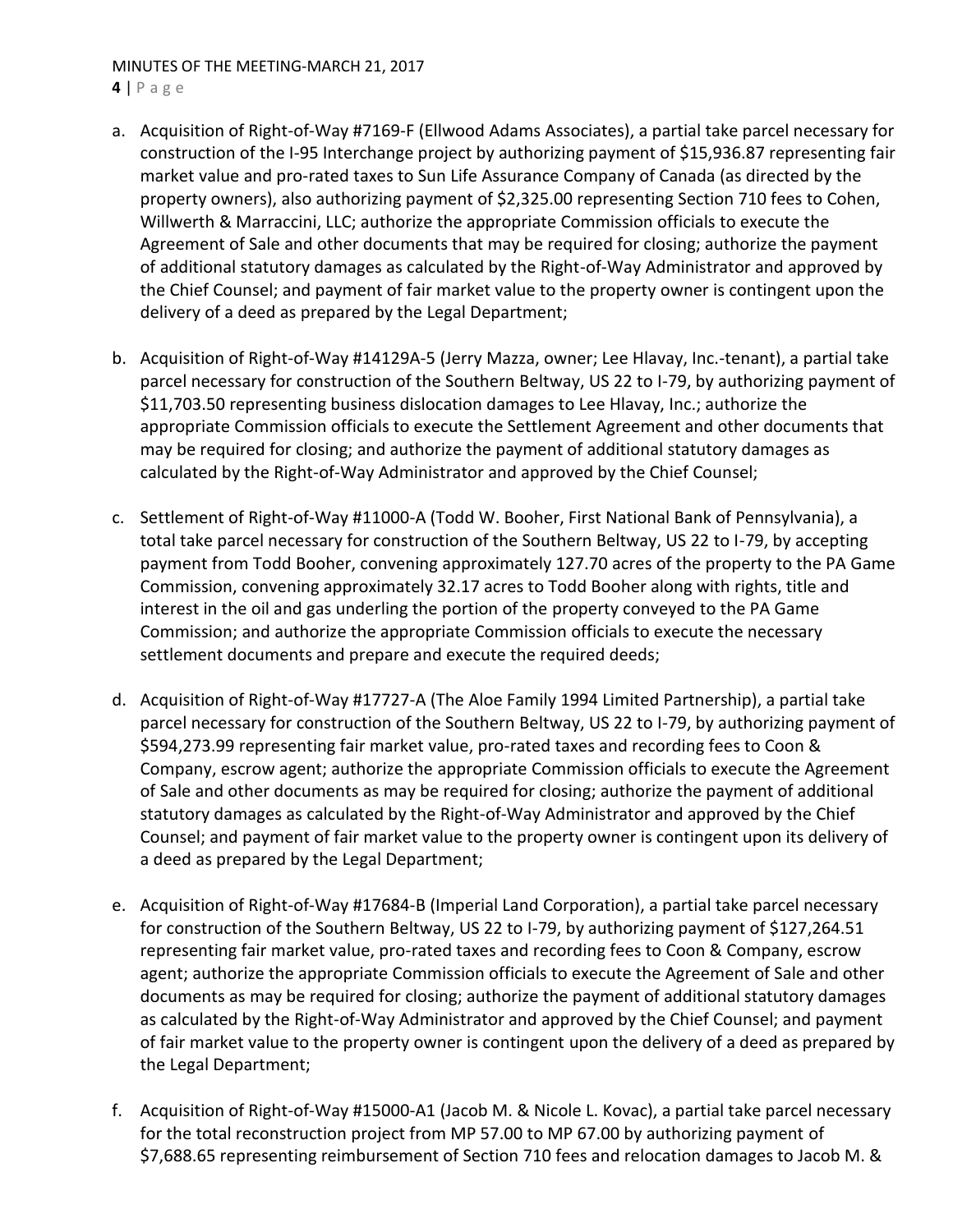# MINUTES OF THE MEETING-MARCH 21, 2017

#### **4** | P a g e

- a. Acquisition of Right-of-Way #7169-F (Ellwood Adams Associates), a partial take parcel necessary for construction of the I-95 Interchange project by authorizing payment of \$15,936.87 representing fair market value and pro-rated taxes to Sun Life Assurance Company of Canada (as directed by the property owners), also authorizing payment of \$2,325.00 representing Section 710 fees to Cohen, Willwerth & Marraccini, LLC; authorize the appropriate Commission officials to execute the Agreement of Sale and other documents that may be required for closing; authorize the payment of additional statutory damages as calculated by the Right-of-Way Administrator and approved by the Chief Counsel; and payment of fair market value to the property owner is contingent upon the delivery of a deed as prepared by the Legal Department;
- b. Acquisition of Right-of-Way #14129A-5 (Jerry Mazza, owner; Lee Hlavay, Inc.-tenant), a partial take parcel necessary for construction of the Southern Beltway, US 22 to I-79, by authorizing payment of \$11,703.50 representing business dislocation damages to Lee Hlavay, Inc.; authorize the appropriate Commission officials to execute the Settlement Agreement and other documents that may be required for closing; and authorize the payment of additional statutory damages as calculated by the Right-of-Way Administrator and approved by the Chief Counsel;
- c. Settlement of Right-of-Way #11000-A (Todd W. Booher, First National Bank of Pennsylvania), a total take parcel necessary for construction of the Southern Beltway, US 22 to I-79, by accepting payment from Todd Booher, convening approximately 127.70 acres of the property to the PA Game Commission, convening approximately 32.17 acres to Todd Booher along with rights, title and interest in the oil and gas underling the portion of the property conveyed to the PA Game Commission; and authorize the appropriate Commission officials to execute the necessary settlement documents and prepare and execute the required deeds;
- d. Acquisition of Right-of-Way #17727-A (The Aloe Family 1994 Limited Partnership), a partial take parcel necessary for construction of the Southern Beltway, US 22 to I-79, by authorizing payment of \$594,273.99 representing fair market value, pro-rated taxes and recording fees to Coon & Company, escrow agent; authorize the appropriate Commission officials to execute the Agreement of Sale and other documents as may be required for closing; authorize the payment of additional statutory damages as calculated by the Right-of-Way Administrator and approved by the Chief Counsel; and payment of fair market value to the property owner is contingent upon its delivery of a deed as prepared by the Legal Department;
- e. Acquisition of Right-of-Way #17684-B (Imperial Land Corporation), a partial take parcel necessary for construction of the Southern Beltway, US 22 to I-79, by authorizing payment of \$127,264.51 representing fair market value, pro-rated taxes and recording fees to Coon & Company, escrow agent; authorize the appropriate Commission officials to execute the Agreement of Sale and other documents as may be required for closing; authorize the payment of additional statutory damages as calculated by the Right-of-Way Administrator and approved by the Chief Counsel; and payment of fair market value to the property owner is contingent upon the delivery of a deed as prepared by the Legal Department;
- f. Acquisition of Right-of-Way #15000-A1 (Jacob M. & Nicole L. Kovac), a partial take parcel necessary for the total reconstruction project from MP 57.00 to MP 67.00 by authorizing payment of \$7,688.65 representing reimbursement of Section 710 fees and relocation damages to Jacob M. &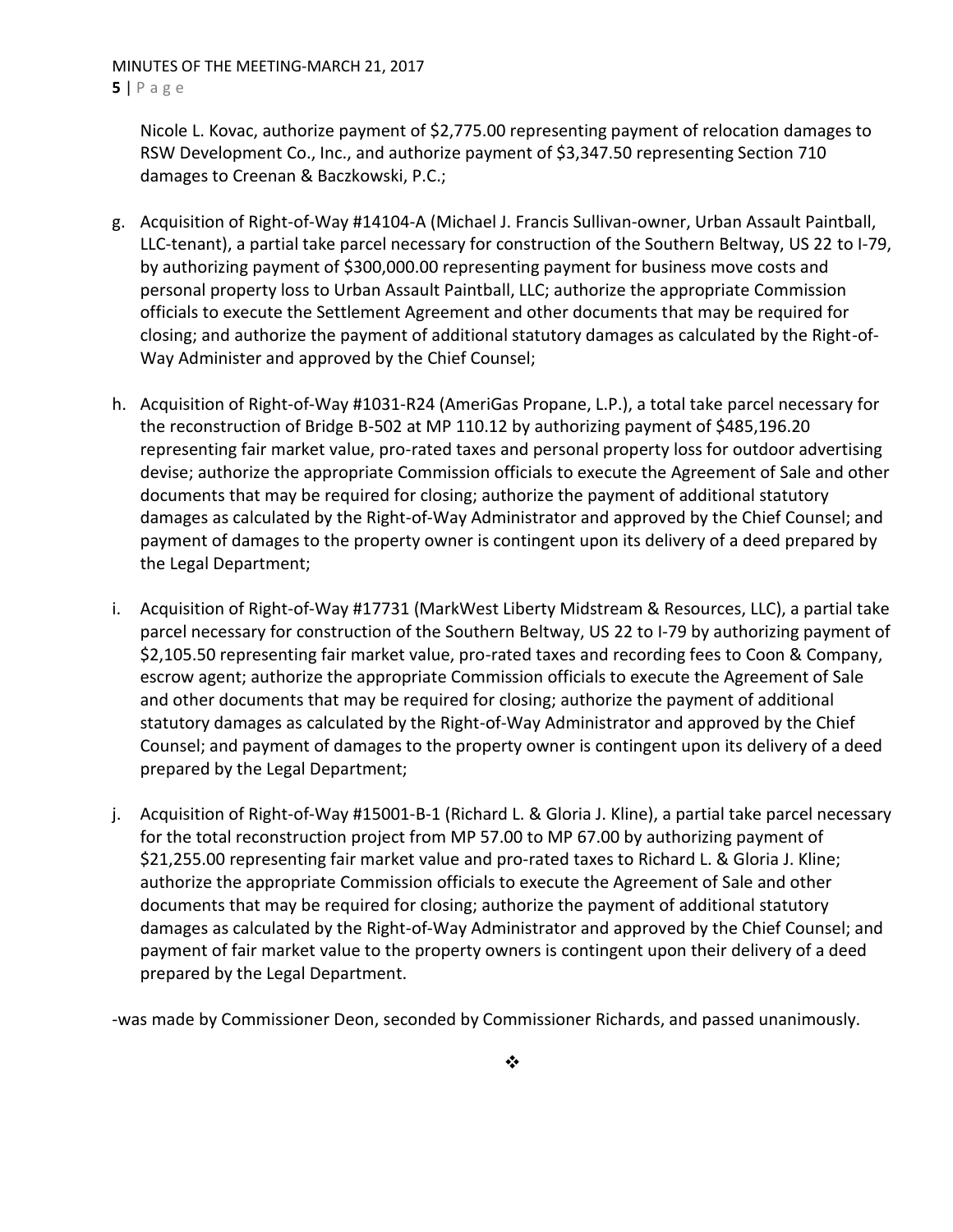MINUTES OF THE MEETING-MARCH 21, 2017 **5** | P a g e

Nicole L. Kovac, authorize payment of \$2,775.00 representing payment of relocation damages to RSW Development Co., Inc., and authorize payment of \$3,347.50 representing Section 710 damages to Creenan & Baczkowski, P.C.;

- g. Acquisition of Right-of-Way #14104-A (Michael J. Francis Sullivan-owner, Urban Assault Paintball, LLC-tenant), a partial take parcel necessary for construction of the Southern Beltway, US 22 to I-79, by authorizing payment of \$300,000.00 representing payment for business move costs and personal property loss to Urban Assault Paintball, LLC; authorize the appropriate Commission officials to execute the Settlement Agreement and other documents that may be required for closing; and authorize the payment of additional statutory damages as calculated by the Right-of-Way Administer and approved by the Chief Counsel;
- h. Acquisition of Right-of-Way #1031-R24 (AmeriGas Propane, L.P.), a total take parcel necessary for the reconstruction of Bridge B-502 at MP 110.12 by authorizing payment of \$485,196.20 representing fair market value, pro-rated taxes and personal property loss for outdoor advertising devise; authorize the appropriate Commission officials to execute the Agreement of Sale and other documents that may be required for closing; authorize the payment of additional statutory damages as calculated by the Right-of-Way Administrator and approved by the Chief Counsel; and payment of damages to the property owner is contingent upon its delivery of a deed prepared by the Legal Department;
- i. Acquisition of Right-of-Way #17731 (MarkWest Liberty Midstream & Resources, LLC), a partial take parcel necessary for construction of the Southern Beltway, US 22 to I-79 by authorizing payment of \$2,105.50 representing fair market value, pro-rated taxes and recording fees to Coon & Company, escrow agent; authorize the appropriate Commission officials to execute the Agreement of Sale and other documents that may be required for closing; authorize the payment of additional statutory damages as calculated by the Right-of-Way Administrator and approved by the Chief Counsel; and payment of damages to the property owner is contingent upon its delivery of a deed prepared by the Legal Department;
- j. Acquisition of Right-of-Way #15001-B-1 (Richard L. & Gloria J. Kline), a partial take parcel necessary for the total reconstruction project from MP 57.00 to MP 67.00 by authorizing payment of \$21,255.00 representing fair market value and pro-rated taxes to Richard L. & Gloria J. Kline; authorize the appropriate Commission officials to execute the Agreement of Sale and other documents that may be required for closing; authorize the payment of additional statutory damages as calculated by the Right-of-Way Administrator and approved by the Chief Counsel; and payment of fair market value to the property owners is contingent upon their delivery of a deed prepared by the Legal Department.

-was made by Commissioner Deon, seconded by Commissioner Richards, and passed unanimously.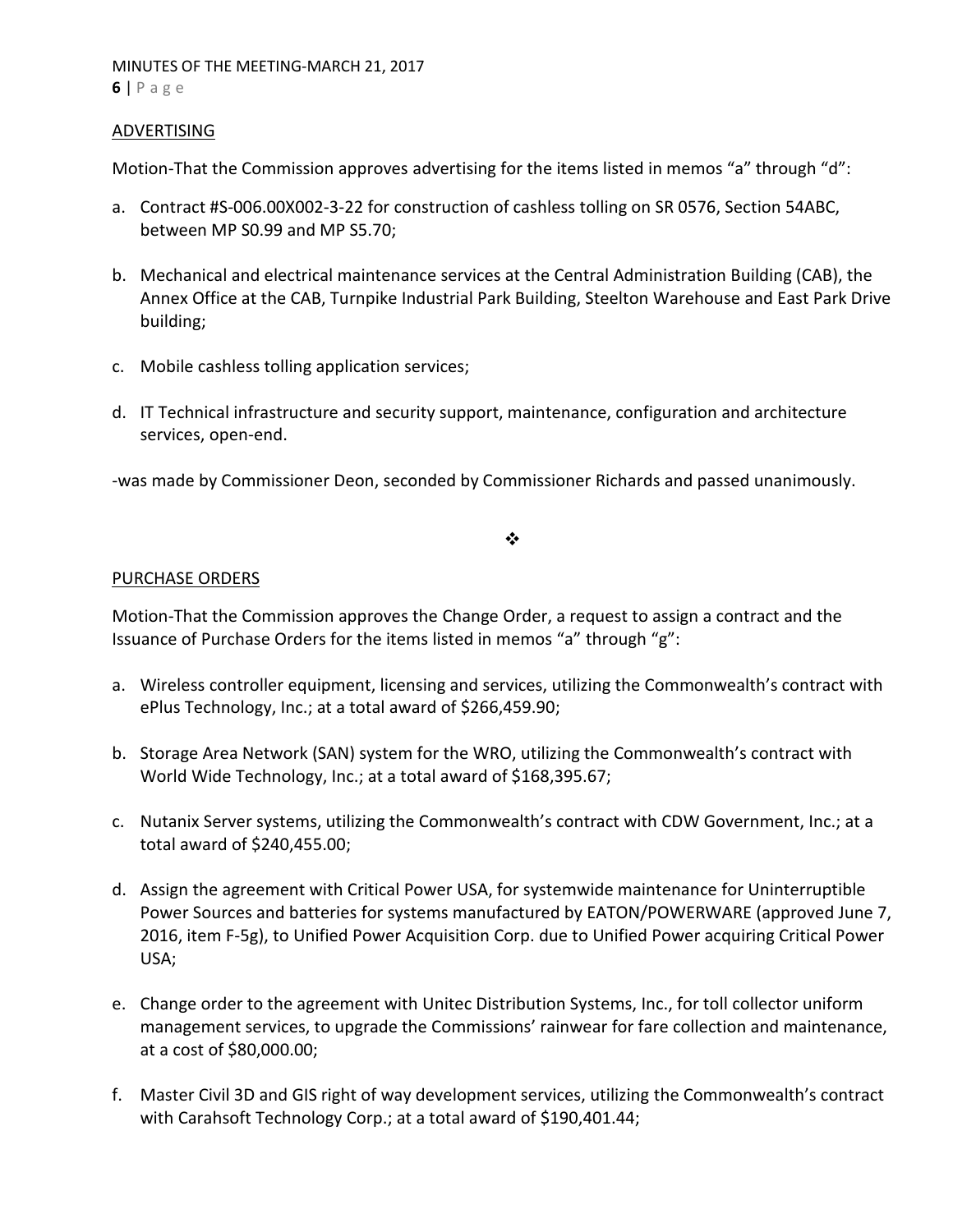#### ADVERTISING

Motion-That the Commission approves advertising for the items listed in memos "a" through "d":

- a. Contract #S-006.00X002-3-22 for construction of cashless tolling on SR 0576, Section 54ABC, between MP S0.99 and MP S5.70;
- b. Mechanical and electrical maintenance services at the Central Administration Building (CAB), the Annex Office at the CAB, Turnpike Industrial Park Building, Steelton Warehouse and East Park Drive building;
- c. Mobile cashless tolling application services;
- d. IT Technical infrastructure and security support, maintenance, configuration and architecture services, open-end.

-was made by Commissioner Deon, seconded by Commissioner Richards and passed unanimously.

### ❖

#### PURCHASE ORDERS

Motion-That the Commission approves the Change Order, a request to assign a contract and the Issuance of Purchase Orders for the items listed in memos "a" through "g":

- a. Wireless controller equipment, licensing and services, utilizing the Commonwealth's contract with ePlus Technology, Inc.; at a total award of \$266,459.90;
- b. Storage Area Network (SAN) system for the WRO, utilizing the Commonwealth's contract with World Wide Technology, Inc.; at a total award of \$168,395.67;
- c. Nutanix Server systems, utilizing the Commonwealth's contract with CDW Government, Inc.; at a total award of \$240,455.00;
- d. Assign the agreement with Critical Power USA, for systemwide maintenance for Uninterruptible Power Sources and batteries for systems manufactured by EATON/POWERWARE (approved June 7, 2016, item F-5g), to Unified Power Acquisition Corp. due to Unified Power acquiring Critical Power USA;
- e. Change order to the agreement with Unitec Distribution Systems, Inc., for toll collector uniform management services, to upgrade the Commissions' rainwear for fare collection and maintenance, at a cost of \$80,000.00;
- f. Master Civil 3D and GIS right of way development services, utilizing the Commonwealth's contract with Carahsoft Technology Corp.; at a total award of \$190,401.44;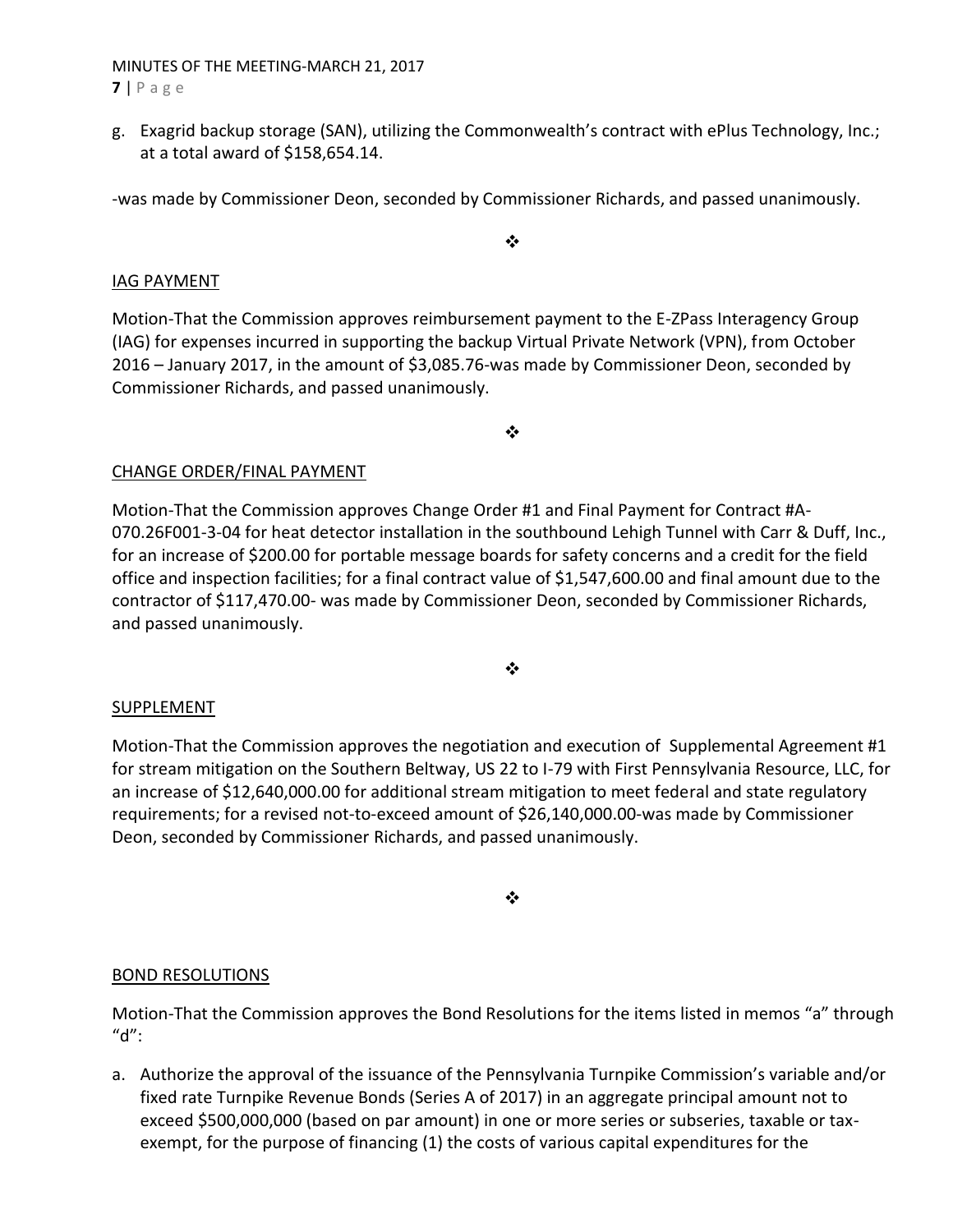## MINUTES OF THE MEETING-MARCH 21, 2017 **7** | P a g e

g. Exagrid backup storage (SAN), utilizing the Commonwealth's contract with ePlus Technology, Inc.; at a total award of \$158,654.14.

-was made by Commissioner Deon, seconded by Commissioner Richards, and passed unanimously.

❖

## IAG PAYMENT

Motion-That the Commission approves reimbursement payment to the E-ZPass Interagency Group (IAG) for expenses incurred in supporting the backup Virtual Private Network (VPN), from October 2016 – January 2017, in the amount of \$3,085.76-was made by Commissioner Deon, seconded by Commissioner Richards, and passed unanimously.

❖

## CHANGE ORDER/FINAL PAYMENT

Motion-That the Commission approves Change Order #1 and Final Payment for Contract #A-070.26F001-3-04 for heat detector installation in the southbound Lehigh Tunnel with Carr & Duff, Inc., for an increase of \$200.00 for portable message boards for safety concerns and a credit for the field office and inspection facilities; for a final contract value of \$1,547,600.00 and final amount due to the contractor of \$117,470.00- was made by Commissioner Deon, seconded by Commissioner Richards, and passed unanimously.

❖

#### **SUPPLEMENT**

Motion-That the Commission approves the negotiation and execution of Supplemental Agreement #1 for stream mitigation on the Southern Beltway, US 22 to I-79 with First Pennsylvania Resource, LLC, for an increase of \$12,640,000.00 for additional stream mitigation to meet federal and state regulatory requirements; for a revised not-to-exceed amount of \$26,140,000.00-was made by Commissioner Deon, seconded by Commissioner Richards, and passed unanimously.

❖

#### BOND RESOLUTIONS

Motion-That the Commission approves the Bond Resolutions for the items listed in memos "a" through "d":

a. Authorize the approval of the issuance of the Pennsylvania Turnpike Commission's variable and/or fixed rate Turnpike Revenue Bonds (Series A of 2017) in an aggregate principal amount not to exceed \$500,000,000 (based on par amount) in one or more series or subseries, taxable or taxexempt, for the purpose of financing (1) the costs of various capital expenditures for the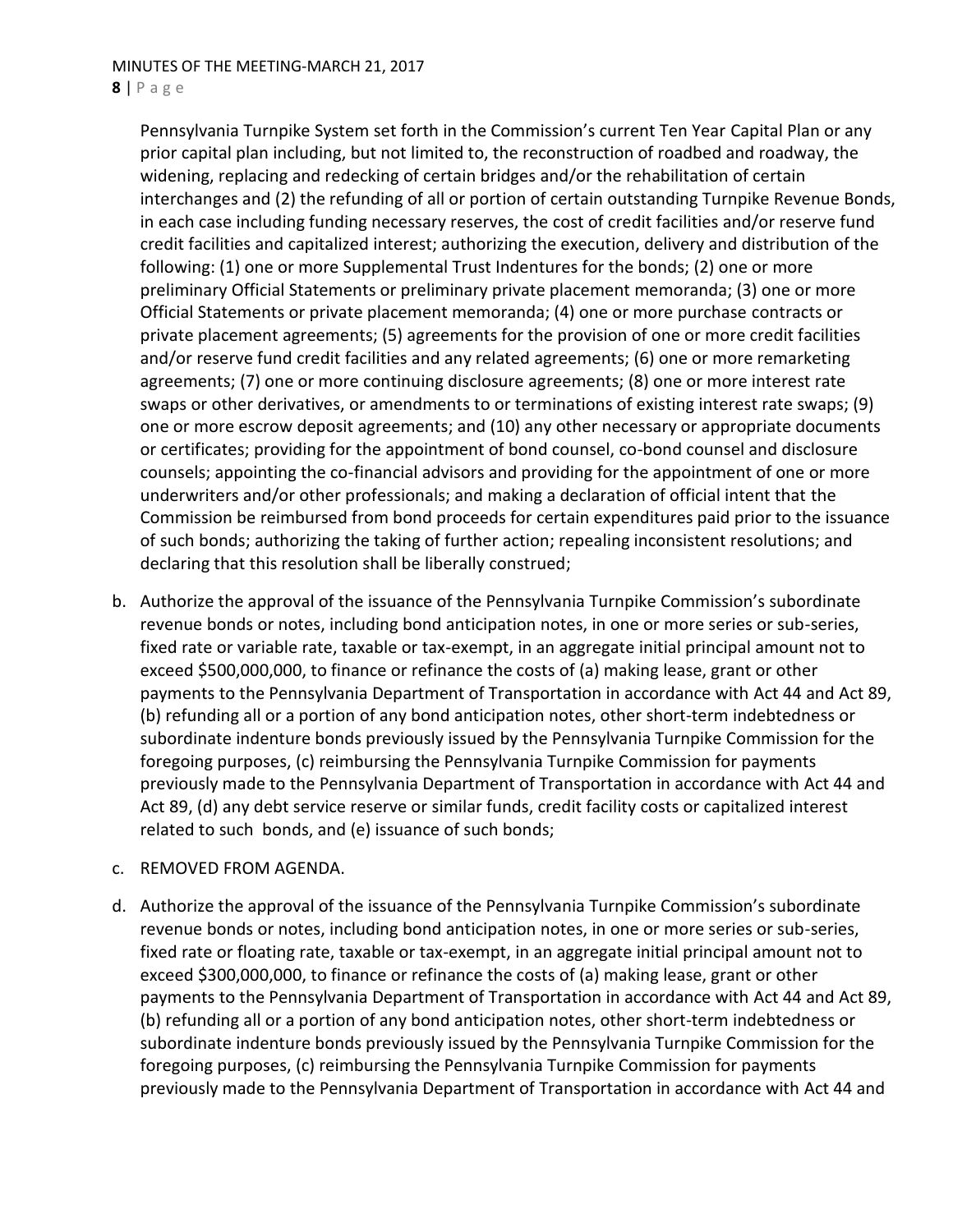Pennsylvania Turnpike System set forth in the Commission's current Ten Year Capital Plan or any prior capital plan including, but not limited to, the reconstruction of roadbed and roadway, the widening, replacing and redecking of certain bridges and/or the rehabilitation of certain interchanges and (2) the refunding of all or portion of certain outstanding Turnpike Revenue Bonds, in each case including funding necessary reserves, the cost of credit facilities and/or reserve fund credit facilities and capitalized interest; authorizing the execution, delivery and distribution of the following: (1) one or more Supplemental Trust Indentures for the bonds; (2) one or more preliminary Official Statements or preliminary private placement memoranda; (3) one or more Official Statements or private placement memoranda; (4) one or more purchase contracts or private placement agreements; (5) agreements for the provision of one or more credit facilities and/or reserve fund credit facilities and any related agreements; (6) one or more remarketing agreements; (7) one or more continuing disclosure agreements; (8) one or more interest rate swaps or other derivatives, or amendments to or terminations of existing interest rate swaps; (9) one or more escrow deposit agreements; and (10) any other necessary or appropriate documents or certificates; providing for the appointment of bond counsel, co-bond counsel and disclosure counsels; appointing the co-financial advisors and providing for the appointment of one or more underwriters and/or other professionals; and making a declaration of official intent that the Commission be reimbursed from bond proceeds for certain expenditures paid prior to the issuance of such bonds; authorizing the taking of further action; repealing inconsistent resolutions; and declaring that this resolution shall be liberally construed;

b. Authorize the approval of the issuance of the Pennsylvania Turnpike Commission's subordinate revenue bonds or notes, including bond anticipation notes, in one or more series or sub-series, fixed rate or variable rate, taxable or tax-exempt, in an aggregate initial principal amount not to exceed \$500,000,000, to finance or refinance the costs of (a) making lease, grant or other payments to the Pennsylvania Department of Transportation in accordance with Act 44 and Act 89, (b) refunding all or a portion of any bond anticipation notes, other short-term indebtedness or subordinate indenture bonds previously issued by the Pennsylvania Turnpike Commission for the foregoing purposes, (c) reimbursing the Pennsylvania Turnpike Commission for payments previously made to the Pennsylvania Department of Transportation in accordance with Act 44 and Act 89, (d) any debt service reserve or similar funds, credit facility costs or capitalized interest related to such bonds, and (e) issuance of such bonds;

#### c. REMOVED FROM AGENDA.

d. Authorize the approval of the issuance of the Pennsylvania Turnpike Commission's subordinate revenue bonds or notes, including bond anticipation notes, in one or more series or sub-series, fixed rate or floating rate, taxable or tax-exempt, in an aggregate initial principal amount not to exceed \$300,000,000, to finance or refinance the costs of (a) making lease, grant or other payments to the Pennsylvania Department of Transportation in accordance with Act 44 and Act 89, (b) refunding all or a portion of any bond anticipation notes, other short-term indebtedness or subordinate indenture bonds previously issued by the Pennsylvania Turnpike Commission for the foregoing purposes, (c) reimbursing the Pennsylvania Turnpike Commission for payments previously made to the Pennsylvania Department of Transportation in accordance with Act 44 and